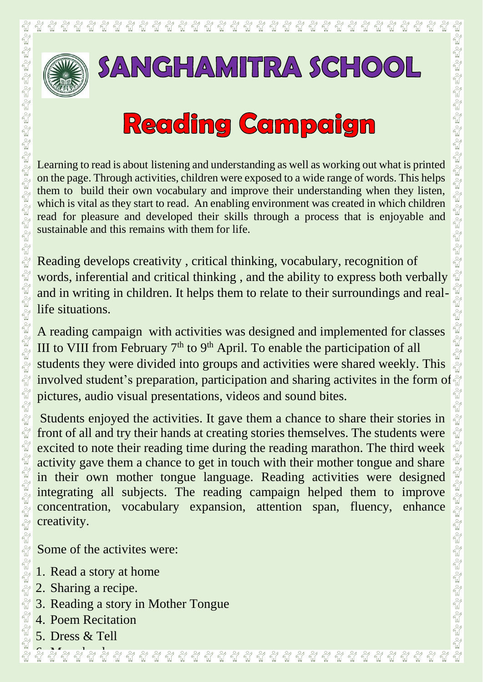

## **Reading Campaign**

Learning to read is about listening and understanding as well as working out what is printed on the page. Through activities, children were exposed to a wide range of words. This helps them to build their own vocabulary and improve their understanding when they listen, which is vital as they start to read. An enabling environment was created in which children read for pleasure and developed their skills through a process that is enjoyable and sustainable and this remains with them for life.

Reading develops creativity , critical thinking, vocabulary, recognition of words, inferential and critical thinking , and the ability to express both verbally and in writing in children. It helps them to relate to their surroundings and reallife situations.

A reading campaign with activities was designed and implemented for classes III to VIII from February  $7<sup>th</sup>$  to  $9<sup>th</sup>$  April. To enable the participation of all students they were divided into groups and activities were shared weekly. This **EXAMPLE STANGHAMITRA SCHOOL**<br> **EXAMPLE STANGHAMITRA SCHOOL**<br> **EXAMPLE STANGE STANGE STANGE STANGE STANGE STANGE STANGE STANGE STANGE STANGE STANGE STANGE STANGE STANGE STANGE STANGE STANGE STANGE STANGER ON STANGER ON ST** pictures, audio visual presentations, videos and sound bites.

Students enjoyed the activities. It gave them a chance to share their stories in front of all and try their hands at creating stories themselves. The students were excited to note their reading time during the reading marathon. The third week activity gave them a chance to get in touch with their mother tongue and share in their own mother tongue language. Reading activities were designed integrating all subjects. The reading campaign helped them to improve concentration, vocabulary expansion, attention span, fluency, enhance creativity.

Some of the activites were:

- 1. Read a story at home
- 2. Sharing a recipe.
- 3. Reading a story in Mother Tongue
	- 4. Poem Recitation
- $\mathbb{E}[\mathbf{0} \mathbb{E}[\mathbf{0} \mathbb{E}[\mathbf{0}$ 5. Dress & Tell

6. My schoolRepresented to the Maria Corporation of the Maria Maria Maria Maria Maria Maria Maria Maria Maria Maria Maria M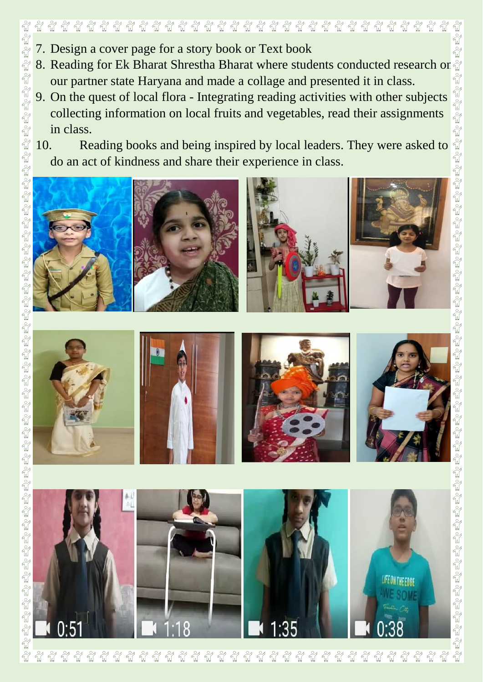

- 7. Design a cover page for a story book or Text book
- our partner state Haryana and made a collage and presented it in class.
- 9. On the quest of local flora Integrating reading activities with other subjects collecting information on local fruits and vegetables, read their assignments in class.
- 10. Reading books and being inspired by local leaders. They were asked to do an act of kindness and share their experience in class.



 $\phi$ 

.











 $\frac{1}{2}$  $\frac{8}{10}$  $\frac{1}{2}$  $\frac{1}{2}$ นี้  $\frac{1}{2}$  $\frac{1}{2}$  $\frac{1}{2}$